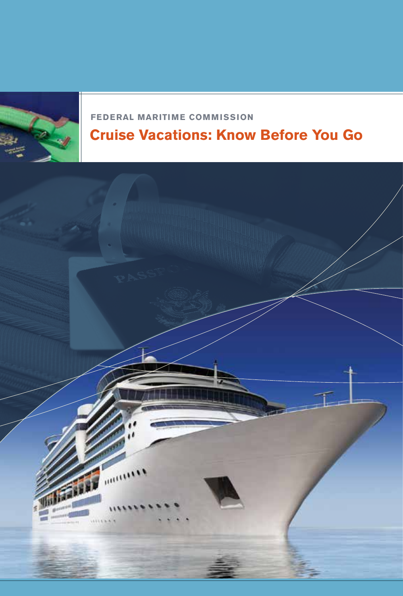

## **FEDERAL MARITIME COMMISSION**

# **Cruise Vacations: Know Before You Go**

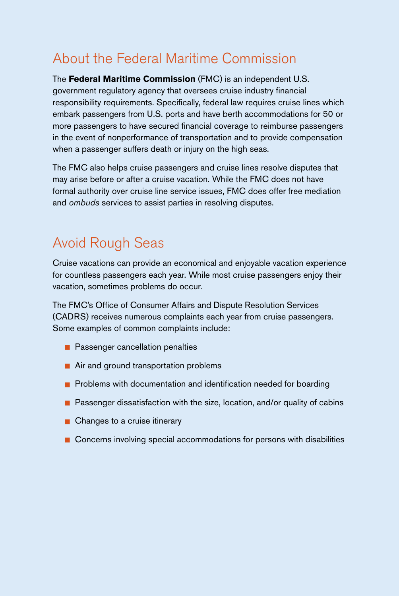# About the Federal Maritime Commission

The **Federal Maritime Commission** (FMC) is an independent U.S. government regulatory agency that oversees cruise industry financial responsibility requirements. Specifically, federal law requires cruise lines which embark passengers from U.S. ports and have berth accommodations for 50 or more passengers to have secured financial coverage to reimburse passengers in the event of nonperformance of transportation and to provide compensation when a passenger suffers death or injury on the high seas.

The FMC also helps cruise passengers and cruise lines resolve disputes that may arise before or after a cruise vacation. While the FMC does not have formal authority over cruise line service issues, FMC does offer free mediation and *ombuds* services to assist parties in resolving disputes.

# Avoid Rough Seas

Cruise vacations can provide an economical and enjoyable vacation experience for countless passengers each year. While most cruise passengers enjoy their vacation, sometimes problems do occur.

The FMC's Office of Consumer Affairs and Dispute Resolution Services (CADRS) receives numerous complaints each year from cruise passengers. Some examples of common complaints include:

- **Passenger cancellation penalties**
- Air and ground transportation problems
- $\blacksquare$  Problems with documentation and identification needed for boarding
- **Passenger dissatisfaction with the size, location, and/or quality of cabins**
- Changes to a cruise itinerary
- Concerns involving special accommodations for persons with disabilities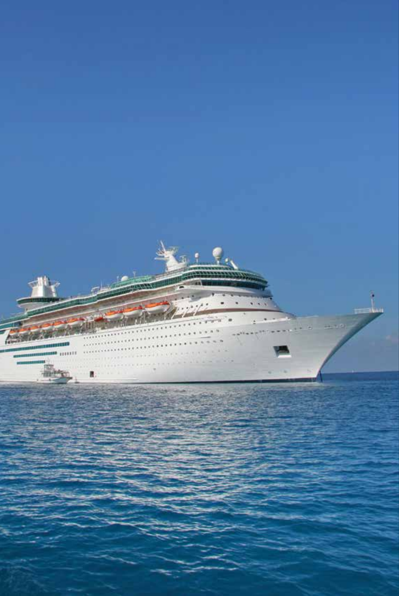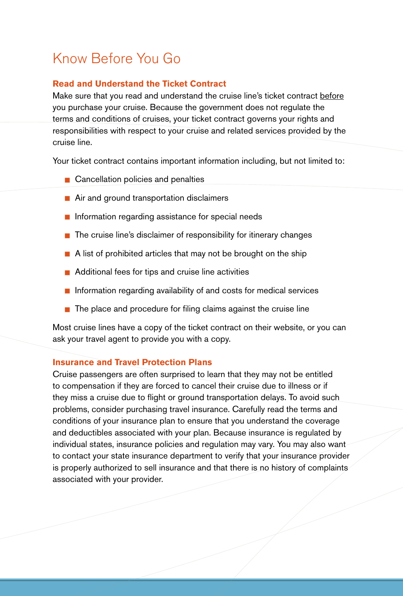# Know Before You Go

## **Read and Understand the Ticket Contract**

Make sure that you read and understand the cruise line's ticket contract before you purchase your cruise. Because the government does not regulate the terms and conditions of cruises, your ticket contract governs your rights and responsibilities with respect to your cruise and related services provided by the cruise line.

Your ticket contract contains important information including, but not limited to:

- Cancellation policies and penalties
- Air and ground transportation disclaimers
- $\blacksquare$  Information regarding assistance for special needs
- $\blacksquare$  The cruise line's disclaimer of responsibility for itinerary changes
- $\blacksquare$  A list of prohibited articles that may not be brought on the ship
- Additional fees for tips and cruise line activities
- $\blacksquare$  Information regarding availability of and costs for medical services
- The place and procedure for filing claims against the cruise line

Most cruise lines have a copy of the ticket contract on their website, or you can ask your travel agent to provide you with a copy.

### **Insurance and Travel Protection Plans**

Cruise passengers are often surprised to learn that they may not be entitled to compensation if they are forced to cancel their cruise due to illness or if they miss a cruise due to flight or ground transportation delays. To avoid such problems, consider purchasing travel insurance. Carefully read the terms and conditions of your insurance plan to ensure that you understand the coverage and deductibles associated with your plan. Because insurance is regulated by individual states, insurance policies and regulation may vary. You may also want to contact your state insurance department to verify that your insurance provider is properly authorized to sell insurance and that there is no history of complaints associated with your provider.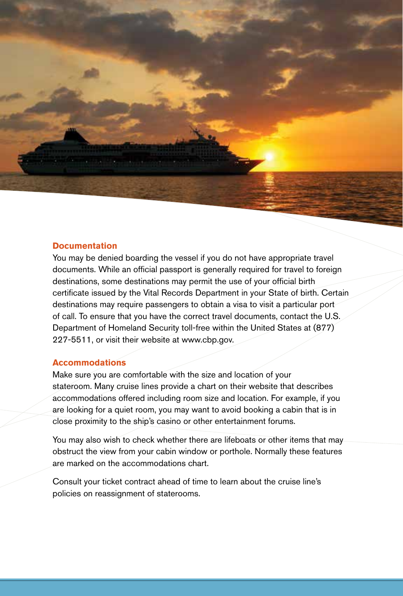

You may be denied boarding the vessel if you do not have appropriate travel documents. While an official passport is generally required for travel to foreign destinations, some destinations may permit the use of your official birth certificate issued by the Vital Records Department in your State of birth. Certain destinations may require passengers to obtain a visa to visit a particular port of call. To ensure that you have the correct travel documents, contact the U.S. Department of Homeland Security toll-free within the United States at (877) 227-5511, or visit their website at [www.cbp.gov](http://www.cbp.gov).

#### **Accommodations**

Make sure you are comfortable with the size and location of your stateroom. Many cruise lines provide a chart on their website that describes accommodations offered including room size and location. For example, if you are looking for a quiet room, you may want to avoid booking a cabin that is in close proximity to the ship's casino or other entertainment forums.

You may also wish to check whether there are lifeboats or other items that may obstruct the view from your cabin window or porthole. Normally these features are marked on the accommodations chart.

Consult your ticket contract ahead of time to learn about the cruise line's policies on reassignment of staterooms.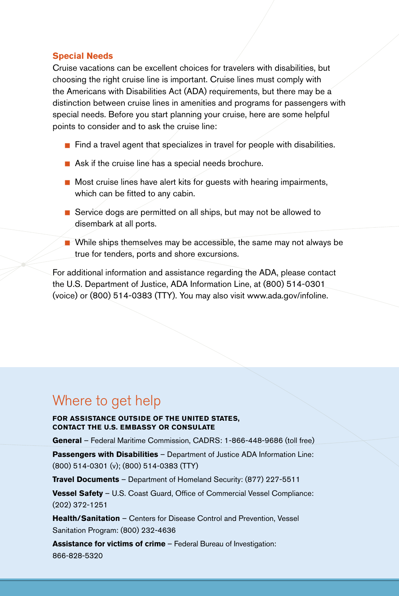## **Special Needs**

Cruise vacations can be excellent choices for travelers with disabilities, but choosing the right cruise line is important. Cruise lines must comply with the Americans with Disabilities Act (ADA) requirements, but there may be a distinction between cruise lines in amenities and programs for passengers with special needs. Before you start planning your cruise, here are some helpful points to consider and to ask the cruise line:

- $\blacksquare$  Find a travel agent that specializes in travel for people with disabilities.
- Ask if the cruise line has a special needs brochure.
- **Most cruise lines have alert kits for guests with hearing impairments,** which can be fitted to any cabin.
- Service dogs are permitted on all ships, but may not be allowed to disembark at all ports.
- While ships themselves may be accessible, the same may not always be true for tenders, ports and shore excursions.

For additional information and assistance regarding the ADA, please contact the U.S. Department of Justice, ADA Information Line, at (800) 514-0301 (voice) or (800) 514-0383 (TTY). You may also visit [www.ada.gov/infoline](http://www.ada.gov/infoline).

## Where to get help

**FOR ASSISTANCE OUTSIDE OF THE UNITED STATES, CONTACT THE U.S. EMBASSY OR CONSULATE**

**General** – Federal Maritime Commission, CADRS: 1-866-448-9686 (toll free)

**Passengers with Disabilities** – Department of Justice ADA Information Line: (800) 514-0301 (v); (800) 514-0383 (TTY)

**Travel Documents** – Department of Homeland Security: (877) 227-5511

**Vessel Safety** – U.S. Coast Guard, Office of Commercial Vessel Compliance: (202) 372-1251

**Health/Sanitation** – Centers for Disease Control and Prevention, Vessel Sanitation Program: (800) 232-4636

**Assistance for victims of crime** – Federal Bureau of Investigation: 866-828-5320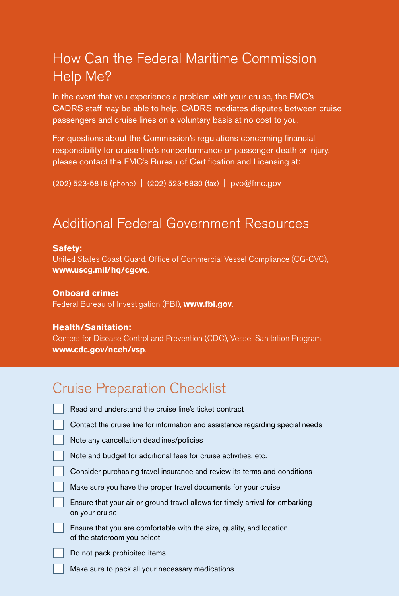## How Can the Federal Maritime Commission Help Me?

In the event that you experience a problem with your cruise, the FMC's CADRS staff may be able to help. CADRS mediates disputes between cruise passengers and cruise lines on a voluntary basis at no cost to you.

For questions about the Commission's regulations concerning financial responsibility for cruise line's nonperformance or passenger death or injury, please contact the FMC's Bureau of Certification and Licensing at:

(202) 523-5818 (phone) | (202) 523-5830 (fax) | [pvo@fmc.gov](mailto:pvo%40fmc.gov?subject=) 

## Additional Federal Government Resources

#### **Safety:**

United States Coast Guard, Office of Commercial Vessel Compliance (CG-CVC), **[www.uscg.mil/hq/cgcvc](http://www.uscg.mil/hq/cgcvc)**.

## **Onboard crime:**

Federal Bureau of Investigation (FBI), **[www.fbi.gov](http://www.fbi.gov)**.

## **Health/Sanitation:**

Centers for Disease Control and Prevention (CDC), Vessel Sanitation Program, **[www.cdc.gov/nceh/vsp](http://www.cdc.gov/nceh/vsp)**.

## Cruise Preparation Checklist

| Read and understand the cruise line's ticket contract                                               |
|-----------------------------------------------------------------------------------------------------|
| Contact the cruise line for information and assistance regarding special needs                      |
| Note any cancellation deadlines/policies                                                            |
| Note and budget for additional fees for cruise activities, etc.                                     |
| Consider purchasing travel insurance and review its terms and conditions                            |
| Make sure you have the proper travel documents for your cruise                                      |
| Ensure that your air or ground travel allows for timely arrival for embarking<br>on your cruise     |
| Ensure that you are comfortable with the size, quality, and location<br>of the stateroom you select |
| Do not pack prohibited items                                                                        |
| Make sure to pack all your necessary medications                                                    |